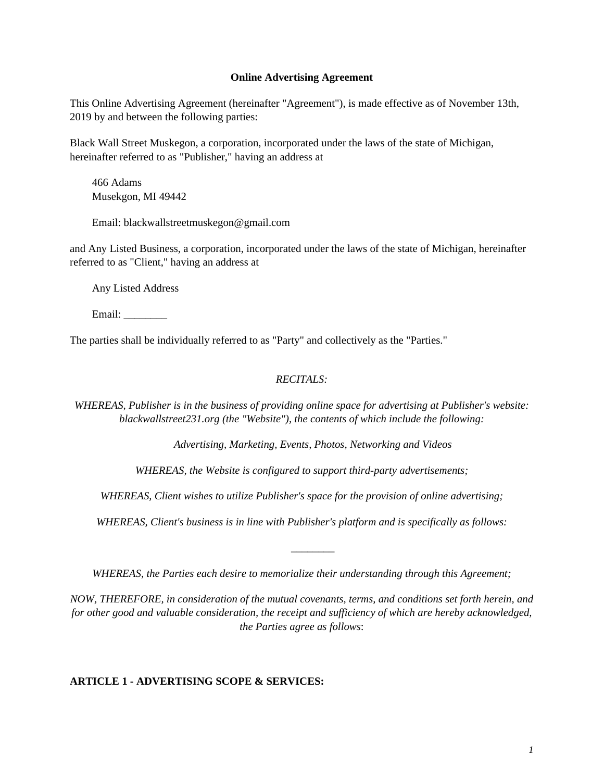#### **Online Advertising Agreement**

This Online Advertising Agreement (hereinafter "Agreement"), is made effective as of November 13th, 2019 by and between the following parties:

Black Wall Street Muskegon, a corporation, incorporated under the laws of the state of Michigan, hereinafter referred to as "Publisher," having an address at

466 Adams Musekgon, MI 49442

Email: blackwallstreetmuskegon@gmail.com

and Any Listed Business, a corporation, incorporated under the laws of the state of Michigan, hereinafter referred to as "Client," having an address at

Any Listed Address

Email:

The parties shall be individually referred to as "Party" and collectively as the "Parties."

## *RECITALS:*

*WHEREAS, Publisher is in the business of providing online space for advertising at Publisher's website: blackwallstreet231.org (the "Website"), the contents of which include the following:*

*Advertising, Marketing, Events, Photos, Networking and Videos*

*WHEREAS, the Website is configured to support third-party advertisements;*

*WHEREAS, Client wishes to utilize Publisher's space for the provision of online advertising;*

*WHEREAS, Client's business is in line with Publisher's platform and is specifically as follows:*

*WHEREAS, the Parties each desire to memorialize their understanding through this Agreement;*

*\_\_\_\_\_\_\_\_*

*NOW, THEREFORE, in consideration of the mutual covenants, terms, and conditions set forth herein, and for other good and valuable consideration, the receipt and sufficiency of which are hereby acknowledged, the Parties agree as follows*:

## **ARTICLE 1 - ADVERTISING SCOPE & SERVICES:**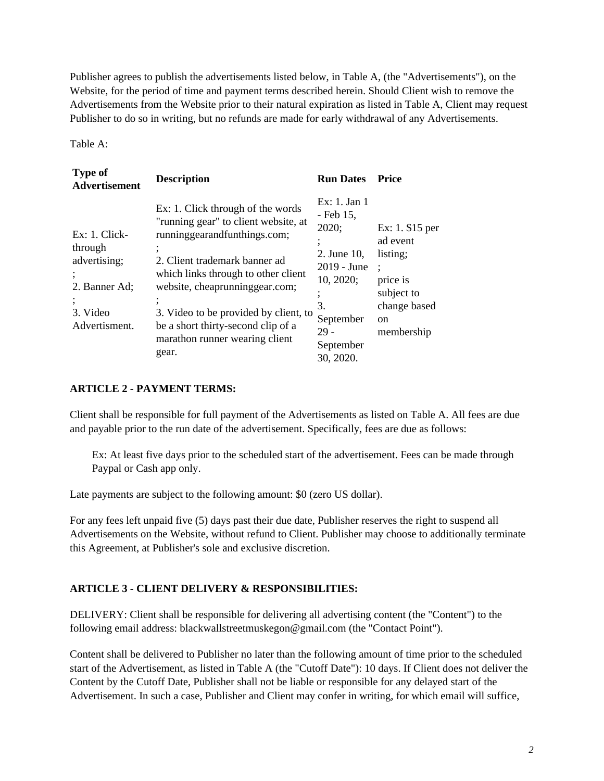Publisher agrees to publish the advertisements listed below, in Table A, (the "Advertisements"), on the Website, for the period of time and payment terms described herein. Should Client wish to remove the Advertisements from the Website prior to their natural expiration as listed in Table A, Client may request Publisher to do so in writing, but no refunds are made for early withdrawal of any Advertisements.

Table A:

| <b>Type of</b><br><b>Advertisement</b>                                                    | <b>Description</b>                                                                                                                                                                                                                                                                                                                            | <b>Run Dates</b>                                                                                                                     | Price                                                                                                             |
|-------------------------------------------------------------------------------------------|-----------------------------------------------------------------------------------------------------------------------------------------------------------------------------------------------------------------------------------------------------------------------------------------------------------------------------------------------|--------------------------------------------------------------------------------------------------------------------------------------|-------------------------------------------------------------------------------------------------------------------|
| $Ex: 1$ . Click-<br>through<br>advertising;<br>2. Banner Ad;<br>3. Video<br>Advertisment. | Ex: 1. Click through of the words<br>"running gear" to client website, at<br>runninggearandfunthings.com;<br>2. Client trademark banner ad<br>which links through to other client<br>website, cheaprunninggear.com;<br>3. Video to be provided by client, to<br>be a short thirty-second clip of a<br>marathon runner wearing client<br>gear. | Ex: 1. Jan 1<br>- Feb 15,<br>2020;<br>2. June 10,<br>$2019 - June$<br>10, 2020;<br>3.<br>September<br>29 -<br>September<br>30, 2020. | Ex: 1. $$15$ per<br>ad event<br>listing;<br>price is<br>subject to<br>change based<br><sub>on</sub><br>membership |

### **ARTICLE 2 - PAYMENT TERMS:**

Client shall be responsible for full payment of the Advertisements as listed on Table A. All fees are due and payable prior to the run date of the advertisement. Specifically, fees are due as follows:

Ex: At least five days prior to the scheduled start of the advertisement. Fees can be made through Paypal or Cash app only.

Late payments are subject to the following amount: \$0 (zero US dollar).

For any fees left unpaid five (5) days past their due date, Publisher reserves the right to suspend all Advertisements on the Website, without refund to Client. Publisher may choose to additionally terminate this Agreement, at Publisher's sole and exclusive discretion.

## **ARTICLE 3 - CLIENT DELIVERY & RESPONSIBILITIES:**

DELIVERY: Client shall be responsible for delivering all advertising content (the "Content") to the following email address: blackwallstreetmuskegon@gmail.com (the "Contact Point").

Content shall be delivered to Publisher no later than the following amount of time prior to the scheduled start of the Advertisement, as listed in Table A (the "Cutoff Date"): 10 days. If Client does not deliver the Content by the Cutoff Date, Publisher shall not be liable or responsible for any delayed start of the Advertisement. In such a case, Publisher and Client may confer in writing, for which email will suffice,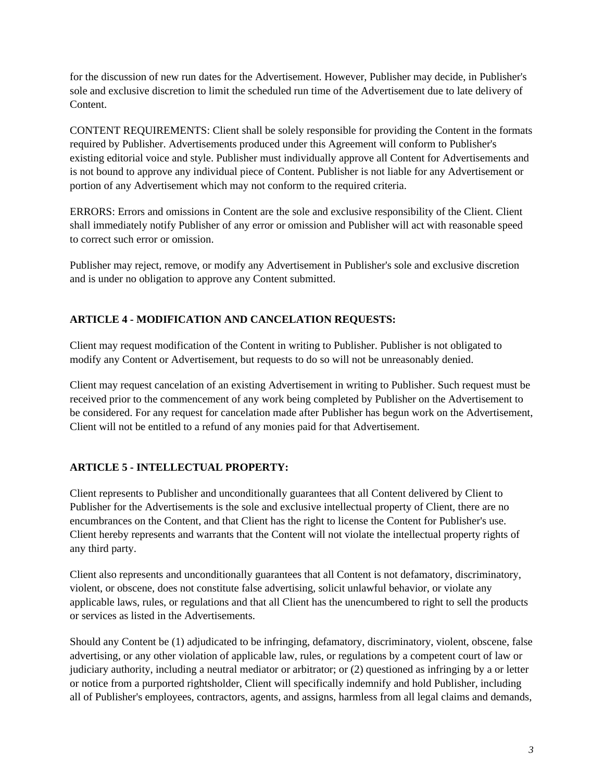for the discussion of new run dates for the Advertisement. However, Publisher may decide, in Publisher's sole and exclusive discretion to limit the scheduled run time of the Advertisement due to late delivery of Content.

CONTENT REQUIREMENTS: Client shall be solely responsible for providing the Content in the formats required by Publisher. Advertisements produced under this Agreement will conform to Publisher's existing editorial voice and style. Publisher must individually approve all Content for Advertisements and is not bound to approve any individual piece of Content. Publisher is not liable for any Advertisement or portion of any Advertisement which may not conform to the required criteria.

ERRORS: Errors and omissions in Content are the sole and exclusive responsibility of the Client. Client shall immediately notify Publisher of any error or omission and Publisher will act with reasonable speed to correct such error or omission.

Publisher may reject, remove, or modify any Advertisement in Publisher's sole and exclusive discretion and is under no obligation to approve any Content submitted.

# **ARTICLE 4 - MODIFICATION AND CANCELATION REQUESTS:**

Client may request modification of the Content in writing to Publisher. Publisher is not obligated to modify any Content or Advertisement, but requests to do so will not be unreasonably denied.

Client may request cancelation of an existing Advertisement in writing to Publisher. Such request must be received prior to the commencement of any work being completed by Publisher on the Advertisement to be considered. For any request for cancelation made after Publisher has begun work on the Advertisement, Client will not be entitled to a refund of any monies paid for that Advertisement.

# **ARTICLE 5 - INTELLECTUAL PROPERTY:**

Client represents to Publisher and unconditionally guarantees that all Content delivered by Client to Publisher for the Advertisements is the sole and exclusive intellectual property of Client, there are no encumbrances on the Content, and that Client has the right to license the Content for Publisher's use. Client hereby represents and warrants that the Content will not violate the intellectual property rights of any third party.

Client also represents and unconditionally guarantees that all Content is not defamatory, discriminatory, violent, or obscene, does not constitute false advertising, solicit unlawful behavior, or violate any applicable laws, rules, or regulations and that all Client has the unencumbered to right to sell the products or services as listed in the Advertisements.

Should any Content be (1) adjudicated to be infringing, defamatory, discriminatory, violent, obscene, false advertising, or any other violation of applicable law, rules, or regulations by a competent court of law or judiciary authority, including a neutral mediator or arbitrator; or (2) questioned as infringing by a or letter or notice from a purported rightsholder, Client will specifically indemnify and hold Publisher, including all of Publisher's employees, contractors, agents, and assigns, harmless from all legal claims and demands,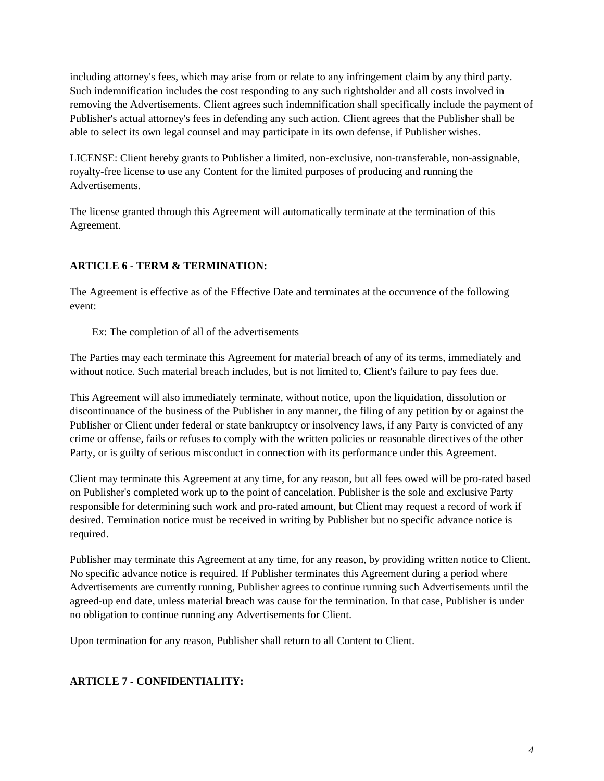including attorney's fees, which may arise from or relate to any infringement claim by any third party. Such indemnification includes the cost responding to any such rightsholder and all costs involved in removing the Advertisements. Client agrees such indemnification shall specifically include the payment of Publisher's actual attorney's fees in defending any such action. Client agrees that the Publisher shall be able to select its own legal counsel and may participate in its own defense, if Publisher wishes.

LICENSE: Client hereby grants to Publisher a limited, non-exclusive, non-transferable, non-assignable, royalty-free license to use any Content for the limited purposes of producing and running the Advertisements.

The license granted through this Agreement will automatically terminate at the termination of this Agreement.

# **ARTICLE 6 - TERM & TERMINATION:**

The Agreement is effective as of the Effective Date and terminates at the occurrence of the following event:

Ex: The completion of all of the advertisements

The Parties may each terminate this Agreement for material breach of any of its terms, immediately and without notice. Such material breach includes, but is not limited to, Client's failure to pay fees due.

This Agreement will also immediately terminate, without notice, upon the liquidation, dissolution or discontinuance of the business of the Publisher in any manner, the filing of any petition by or against the Publisher or Client under federal or state bankruptcy or insolvency laws, if any Party is convicted of any crime or offense, fails or refuses to comply with the written policies or reasonable directives of the other Party, or is guilty of serious misconduct in connection with its performance under this Agreement.

Client may terminate this Agreement at any time, for any reason, but all fees owed will be pro-rated based on Publisher's completed work up to the point of cancelation. Publisher is the sole and exclusive Party responsible for determining such work and pro-rated amount, but Client may request a record of work if desired. Termination notice must be received in writing by Publisher but no specific advance notice is required.

Publisher may terminate this Agreement at any time, for any reason, by providing written notice to Client. No specific advance notice is required. If Publisher terminates this Agreement during a period where Advertisements are currently running, Publisher agrees to continue running such Advertisements until the agreed-up end date, unless material breach was cause for the termination. In that case, Publisher is under no obligation to continue running any Advertisements for Client.

Upon termination for any reason, Publisher shall return to all Content to Client.

# **ARTICLE 7 - CONFIDENTIALITY:**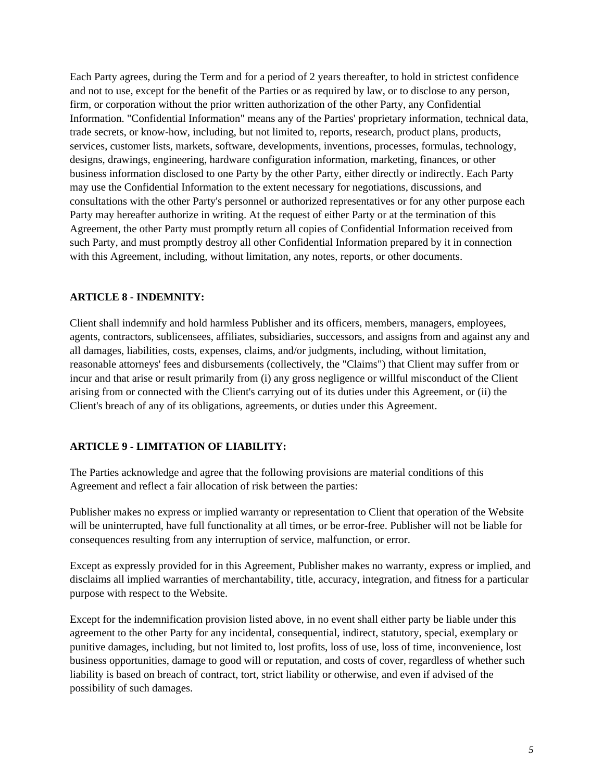Each Party agrees, during the Term and for a period of 2 years thereafter, to hold in strictest confidence and not to use, except for the benefit of the Parties or as required by law, or to disclose to any person, firm, or corporation without the prior written authorization of the other Party, any Confidential Information. "Confidential Information" means any of the Parties' proprietary information, technical data, trade secrets, or know-how, including, but not limited to, reports, research, product plans, products, services, customer lists, markets, software, developments, inventions, processes, formulas, technology, designs, drawings, engineering, hardware configuration information, marketing, finances, or other business information disclosed to one Party by the other Party, either directly or indirectly. Each Party may use the Confidential Information to the extent necessary for negotiations, discussions, and consultations with the other Party's personnel or authorized representatives or for any other purpose each Party may hereafter authorize in writing. At the request of either Party or at the termination of this Agreement, the other Party must promptly return all copies of Confidential Information received from such Party, and must promptly destroy all other Confidential Information prepared by it in connection with this Agreement, including, without limitation, any notes, reports, or other documents.

### **ARTICLE 8 - INDEMNITY:**

Client shall indemnify and hold harmless Publisher and its officers, members, managers, employees, agents, contractors, sublicensees, affiliates, subsidiaries, successors, and assigns from and against any and all damages, liabilities, costs, expenses, claims, and/or judgments, including, without limitation, reasonable attorneys' fees and disbursements (collectively, the "Claims") that Client may suffer from or incur and that arise or result primarily from (i) any gross negligence or willful misconduct of the Client arising from or connected with the Client's carrying out of its duties under this Agreement, or (ii) the Client's breach of any of its obligations, agreements, or duties under this Agreement.

### **ARTICLE 9 - LIMITATION OF LIABILITY:**

The Parties acknowledge and agree that the following provisions are material conditions of this Agreement and reflect a fair allocation of risk between the parties:

Publisher makes no express or implied warranty or representation to Client that operation of the Website will be uninterrupted, have full functionality at all times, or be error-free. Publisher will not be liable for consequences resulting from any interruption of service, malfunction, or error.

Except as expressly provided for in this Agreement, Publisher makes no warranty, express or implied, and disclaims all implied warranties of merchantability, title, accuracy, integration, and fitness for a particular purpose with respect to the Website.

Except for the indemnification provision listed above, in no event shall either party be liable under this agreement to the other Party for any incidental, consequential, indirect, statutory, special, exemplary or punitive damages, including, but not limited to, lost profits, loss of use, loss of time, inconvenience, lost business opportunities, damage to good will or reputation, and costs of cover, regardless of whether such liability is based on breach of contract, tort, strict liability or otherwise, and even if advised of the possibility of such damages.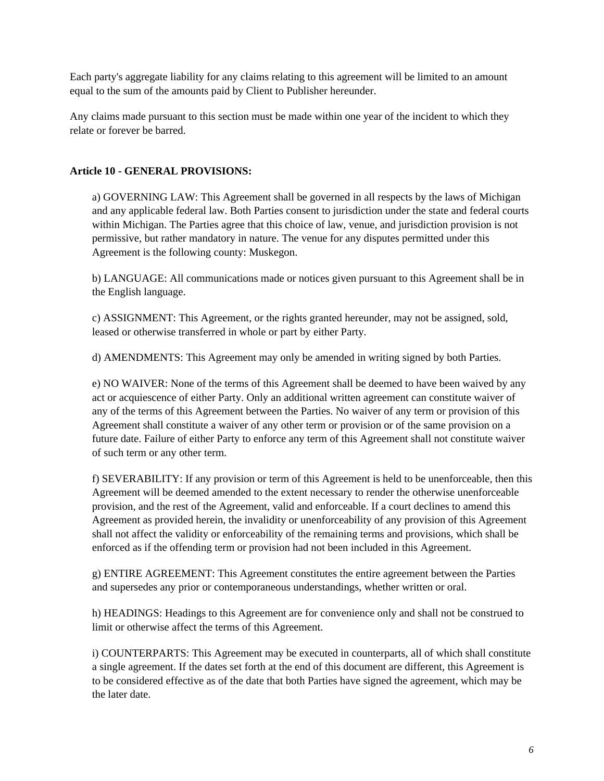Each party's aggregate liability for any claims relating to this agreement will be limited to an amount equal to the sum of the amounts paid by Client to Publisher hereunder.

Any claims made pursuant to this section must be made within one year of the incident to which they relate or forever be barred.

### **Article 10 - GENERAL PROVISIONS:**

a) GOVERNING LAW: This Agreement shall be governed in all respects by the laws of Michigan and any applicable federal law. Both Parties consent to jurisdiction under the state and federal courts within Michigan. The Parties agree that this choice of law, venue, and jurisdiction provision is not permissive, but rather mandatory in nature. The venue for any disputes permitted under this Agreement is the following county: Muskegon.

b) LANGUAGE: All communications made or notices given pursuant to this Agreement shall be in the English language.

c) ASSIGNMENT: This Agreement, or the rights granted hereunder, may not be assigned, sold, leased or otherwise transferred in whole or part by either Party.

d) AMENDMENTS: This Agreement may only be amended in writing signed by both Parties.

e) NO WAIVER: None of the terms of this Agreement shall be deemed to have been waived by any act or acquiescence of either Party. Only an additional written agreement can constitute waiver of any of the terms of this Agreement between the Parties. No waiver of any term or provision of this Agreement shall constitute a waiver of any other term or provision or of the same provision on a future date. Failure of either Party to enforce any term of this Agreement shall not constitute waiver of such term or any other term.

f) SEVERABILITY: If any provision or term of this Agreement is held to be unenforceable, then this Agreement will be deemed amended to the extent necessary to render the otherwise unenforceable provision, and the rest of the Agreement, valid and enforceable. If a court declines to amend this Agreement as provided herein, the invalidity or unenforceability of any provision of this Agreement shall not affect the validity or enforceability of the remaining terms and provisions, which shall be enforced as if the offending term or provision had not been included in this Agreement.

g) ENTIRE AGREEMENT: This Agreement constitutes the entire agreement between the Parties and supersedes any prior or contemporaneous understandings, whether written or oral.

h) HEADINGS: Headings to this Agreement are for convenience only and shall not be construed to limit or otherwise affect the terms of this Agreement.

i) COUNTERPARTS: This Agreement may be executed in counterparts, all of which shall constitute a single agreement. If the dates set forth at the end of this document are different, this Agreement is to be considered effective as of the date that both Parties have signed the agreement, which may be the later date.